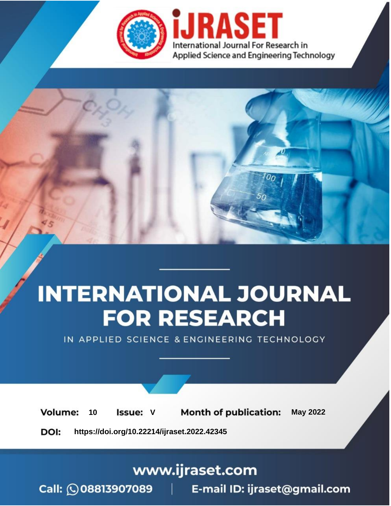

# **INTERNATIONAL JOURNAL FOR RESEARCH**

IN APPLIED SCIENCE & ENGINEERING TECHNOLOGY

Volume: **Month of publication: May 2022** 10 **Issue: V** 

DOI: https://doi.org/10.22214/ijraset.2022.42345

www.ijraset.com

Call: 008813907089 | E-mail ID: ijraset@gmail.com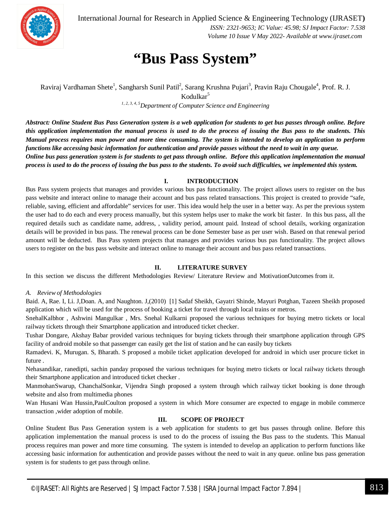

International Journal for Research in Applied Science & Engineering Technology (IJRASET**)**  *ISSN: 2321-9653; IC Value: 45.98; SJ Impact Factor: 7.538 Volume 10 Issue V May 2022- Available at www.ijraset.com*

### **"Bus Pass System"**

Raviraj Vardhaman Shete<sup>1</sup>, Sangharsh Sunil Patil<sup>2</sup>, Sarang Krushna Pujari<sup>3</sup>, Pravin Raju Chougale<sup>4</sup>, Prof. R. J. Kodulkar<sup>5</sup>

*1, 2, 3, 4, 5Department of Computer Science and Engineering*

*Abstract: Online Student Bus Pass Generation system is a web application for students to get bus passes through online. Before this application implementation the manual process is used to do the process of issuing the Bus pass to the students. This Manual process requires man power and more time consuming. The system is intended to develop an application to perform functions like accessing basic information for authentication and provide passes without the need to wait in any queue. Online bus pass generation system is for students to get pass through online. Before this application implementation the manual process is used to do the process of issuing the bus pass to the students. To avoid such difficulties, we implemented this system.*

#### **I. INTRODUCTION**

Bus Pass system projects that manages and provides various bus pas functionality. The project allows users to register on the bus pass website and interact online to manage their account and bus pass related transactions. This project is created to provide "safe, reliable, saving, efficient and affordable" services for user. This idea would help the user in a better way. As per the previous system the user had to do each and every process manually, but this system helps user to make the work bit faster. In this bus pass, all the required details such as candidate name, address, , validity period, amount paid. Instead of school details, working organization details will be provided in bus pass. The renewal process can be done Semester base as per user wish. Based on that renewal period amount will be deducted. Bus Pass system projects that manages and provides various bus pas functionality. The project allows users to register on the bus pass website and interact online to manage their account and bus pass related transactions.

#### **II. LITERATURE SURVEY**

In this section we discuss the different Methodologies Review/ Literature Review and MotivationOutcomes from it.

#### *A. Review of Methodologies*

Baid. A, Rae. I, Li. J,Doan. A, and Naughton. J,(2010) [1] Sadaf Sheikh, Gayatri Shinde, Mayuri Potghan, Tazeen Sheikh proposed application which will be used for the process of booking a ticket for travel through local trains or metros.

SnehalKalbhor , Ashwini Mangulkar , Mrs. Snehal Kulkarni proposed the various techniques for buying metro tickets or local railway tickets through their Smartphone application and introduced ticket checker.

Tushar Dongare, Akshay Babar provided various techniques for buying tickets through their smartphone application through GPS facility of android mobile so that passenger can easily get the list of station and he can easily buy tickets

Ramadevi. K, Murugan. S, Bharath. S proposed a mobile ticket application developed for android in which user procure ticket in future .

Nehasandikar, ranedipti, sachin panday proposed the various techniques for buying metro tickets or local railway tickets through their Smartphone application and introduced ticket checker .

ManmohanSwarup, ChanchalSonkar, Vijendra Singh proposed a system through which railway ticket booking is done through website and also from multimedia phones

Wan Husani Wan Hussin,PaulCoulton proposed a system in which More consumer are expected to engage in mobile commerce transaction ,wider adoption of mobile.

#### **III. SCOPE OF PROJECT**

Online Student Bus Pass Generation system is a web application for students to get bus passes through online. Before this application implementation the manual process is used to do the process of issuing the Bus pass to the students. This Manual process requires man power and more time consuming. The system is intended to develop an application to perform functions like accessing basic information for authentication and provide passes without the need to wait in any queue. online bus pass generation system is for students to get pass through online.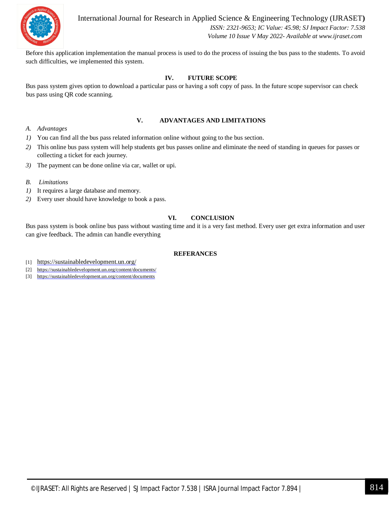

International Journal for Research in Applied Science & Engineering Technology (IJRASET**)**  *ISSN: 2321-9653; IC Value: 45.98; SJ Impact Factor: 7.538 Volume 10 Issue V May 2022- Available at www.ijraset.com*

Before this application implementation the manual process is used to do the process of issuing the bus pass to the students. To avoid such difficulties, we implemented this system.

#### **IV. FUTURE SCOPE**

Bus pass system gives option to download a particular pass or having a soft copy of pass. In the future scope supervisor can check bus pass using QR code scanning.

#### **V. ADVANTAGES AND LIMITATIONS**

- *A. Advantages*
- *1)* You can find all the bus pass related information online without going to the bus section.
- *2)* This online bus pass system will help students get bus passes online and eliminate the need of standing in queues for passes or collecting a ticket for each journey.
- *3)* The payment can be done online via car, wallet or upi.
- *B. Limitations*
- *1)* It requires a large database and memory.
- *2)* Every user should have knowledge to book a pass.

#### **VI. CONCLUSION**

Bus pass system is book online bus pass without wasting time and it is a very fast method. Every user get extra information and user can give feedback. The admin can handle everything

#### **REFERANCES**

- [1] https://sustainabledevelopment.un.org/
- [2] https://sustainabledevelopment.un.org/content/documents/
- [3] https://sustainabledevelopment.un.org/content/documents